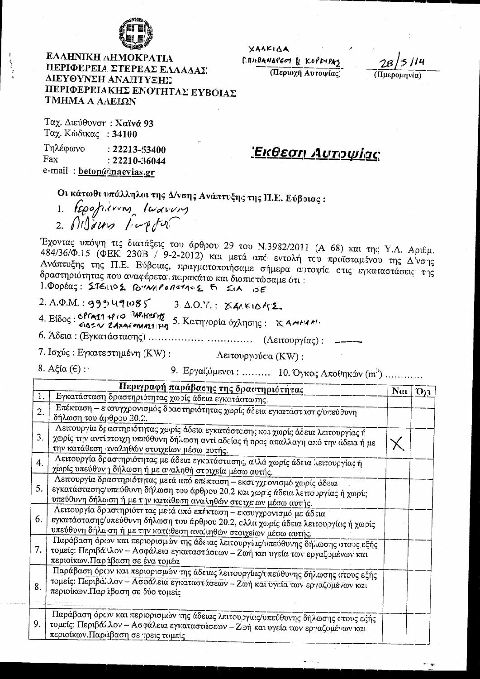

ΕΛΛΗΝΙΚΗ ΛΗΜΟΚΡΑΤΙΑ ΠΕΡΙΦΕΡΕΙΑ. ΣΤΕΡΕΑΣ ΕΛΛΑΔΑΣ ΔΙΕΥΘΥΝΣΗ ΑΝΑΠΤΥΞΗΣ ΠΕΡΙΦΕΡΕΙΑΚΗΣ ΕΝΟΤΗΤΑΣ ΕΥΒΟΙΑΣ ΤΜΗΜΑ Α ΑΛΕΙΏΝ

XAAKIAA CONFRANATED & KEPEYPAS

(Περιοχή Αυτοψίας)

(Ημερομηνία)

Ταχ. Διεύθυνση: Χαϊνά 93 Ταχ. Κώδικας: 34100

Τηλέφωνο  $: 2.2213 - 53400$ Fax  $: 22210 - 36044$ e-mail: betop@naevias.gr

Εκθεση Αυτοψίας

Οι κάτωθι υπόλληλοι της Δ/νσης Ανάπτυξης της Π.Ε. Εύβοιας:

1. Repositions laurous

Έχοντας υπόψη τις διατάξεις του όρθρου 29 του Ν.3932/2011 (Α 68) και της Υ.Α. Αριθμ. 484/36/Φ.15 (ΦΕΚ 23013 / 9-2-2012) και μετά από εντολή του προϊσταμένου της Δίνσης Ανάπτυξης της Π.Ε. Εύβειας, πραγματοποιήσαμε σήμερα αυτοψίε στις εγκαταστάσεις της δραστηριότητας που αναφέρεται περακάτω και διαπιετώσαμε ότι: 1. DODECC: STEINOS BYNAPORSTAVE & SILA OF

 $2. A.\Phi.M.: 999 \forall 91085$ 

 $3$   $\Delta$ .O.Y.:  $\chi$ ARIO452.

4. Είδος: CPTAI 4010 MAKESINE 5. KCTTYOPÍA Óχλησης: KAMHAKI.

7. Ισχύς: Εγκατε στημένη (KW): Λειτουργούσα (KW):

8. Αξία ( $ε$ ):

9. Εργαζόμενοι: .......... 10. Όγκος Αποθηκών (m<sup>3</sup>) .............

|                  | Περιγραφή παράβασης της δραστηριότητας                                                                                                                                                                                           | Nai | $O_{21}$ |
|------------------|----------------------------------------------------------------------------------------------------------------------------------------------------------------------------------------------------------------------------------|-----|----------|
| 1.               | Εγκατάσταση δριαστηριότητας χωρίς άδεια εγκατάστασης.                                                                                                                                                                            |     |          |
| $\overline{2}$ . | Επέκταση - ε συγχρονισμός δραστηριότητας χωρίς άδεια εγκατάστασης/υπεύθυνη<br>δήλωση του άρθρου 20.2.                                                                                                                            |     |          |
| 3.               | Λειτουργία δι αστηριότητας χωρίς άδεια εγκατάστεσης και χωρίς άδεια λειτουργίας ή<br>χωρίς την αντί ποιχη υπεύθυνη δήλωση αντί αδείας ή προς απαλλαγή από την άδεια ή με<br>την κατάθεση ιναληθών στοιχείων μέσω αυτής.          |     |          |
| 4.               | Λειτουργία δραστηριότητας με άδεια εγκατάστεσης, αλλά χωρίς άδεια λειτουργία; ή<br>χωρίς υπεύθυν η δήλωση ή με αναληθή στοιχεία μέσω αυτής.                                                                                      |     |          |
| 5.               | Λειτουργία δρασιηριότητας μετά από επέκταση - εκσιγχρονισμό χωρίς άδεια<br>εγκατάστασης/υπεύθυνη δήλωση του άρθρου 20.2 και χωρ ς άδεια λειτουργίας ή χωρίς<br>υπεύθυνη δήλαιση ή με την κατάθεση αναληθών στοιχείων μέσω αυτής. |     |          |
| 6.               | Λειτουργία δραστηριότητας μετά από επέκτοση - εκσυγχρονισμό με άδεια<br>εγκατάστασης/υπεύθυνη δήλωση του έρθρου 20.2, ελλά χωρίς άδεια λειτουργίας ή χωρίς<br>υπεύθυνη δήλα ση ή με την κατάθεση αναληθών στοιχείων μέσω αυτής.  |     |          |
| 7.               | Παράβαση όριον και περιορισμών της άδειας λειτουργίας/υπεύθυνης δήλωσης στους εξής<br>τομείς: Περιβά λλον - Ασφάλεια εγκαταστάσεων - Ζωή και υγεία των εργαζομένων και<br>περιοίκων. Παρ ίβαση σε ένα τομέα                      |     |          |
| 8.               | Παράβαση όριον και περιορισμών της άδειας λειτουργίας/υπεύθυνης δήλωσης στους εξής<br>τομείς: Περιβάλλον - Ασφάλεια εγκατικοτίσεων - Ζωή και υγεία των εργαζομένων και<br>περιοίκων. Παρ ίβαση σε δύο τομείς                     |     |          |
| 9.               | Παράβαση όρουν και περιορισμών της άδειας λειτουργίας/υπεύθυνης δήλωσης στους εξής<br>τομείς: Περιβάλλον - Ασφάλεια εγκαταστάσεων - Ζωή και υγεία των εργαζομένων και<br>περιοίκων. Παριτβαση σε τρεις τομείς                    |     |          |